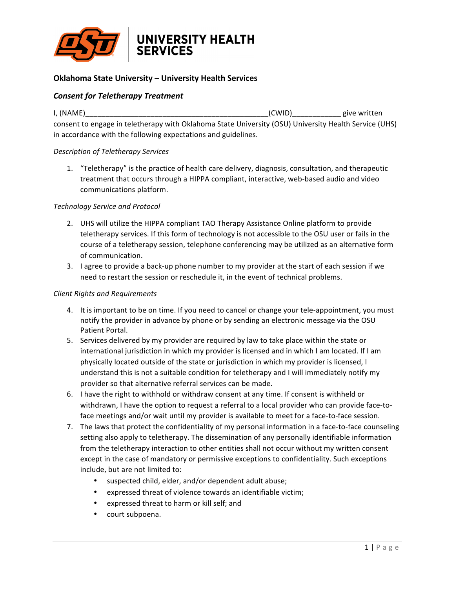

# **Oklahoma State University – University Health Services**

## *Consent for Teletherapy Treatment*

I, (NAME) The same state of the state of the state of the state of the state of the state of the state of the state of the state of the state of the state of the state of the state of the state of the state of the state of consent to engage in teletherapy with Oklahoma State University (OSU) University Health Service (UHS) in accordance with the following expectations and guidelines.

#### *Description of Teletherapy Services*

1. "Teletherapy" is the practice of health care delivery, diagnosis, consultation, and therapeutic treatment that occurs through a HIPPA compliant, interactive, web-based audio and video communications platform. 

#### *Technology Service and Protocol*

- 2. UHS will utilize the HIPPA compliant TAO Therapy Assistance Online platform to provide teletherapy services. If this form of technology is not accessible to the OSU user or fails in the course of a teletherapy session, telephone conferencing may be utilized as an alternative form of communication.
- 3. I agree to provide a back-up phone number to my provider at the start of each session if we need to restart the session or reschedule it, in the event of technical problems.

#### *Client Rights and Requirements*

- 4. It is important to be on time. If you need to cancel or change your tele-appointment, you must notify the provider in advance by phone or by sending an electronic message via the OSU Patient Portal.
- 5. Services delivered by my provider are required by law to take place within the state or international jurisdiction in which my provider is licensed and in which I am located. If I am physically located outside of the state or jurisdiction in which my provider is licensed, I understand this is not a suitable condition for teletherapy and I will immediately notify my provider so that alternative referral services can be made.
- 6. I have the right to withhold or withdraw consent at any time. If consent is withheld or withdrawn, I have the option to request a referral to a local provider who can provide face-toface meetings and/or wait until my provider is available to meet for a face-to-face session.
- 7. The laws that protect the confidentiality of my personal information in a face-to-face counseling setting also apply to teletherapy. The dissemination of any personally identifiable information from the teletherapy interaction to other entities shall not occur without my written consent except in the case of mandatory or permissive exceptions to confidentiality. Such exceptions include, but are not limited to:
	- suspected child, elder, and/or dependent adult abuse;
	- expressed threat of violence towards an identifiable victim;
	- expressed threat to harm or kill self; and
	- court subpoena.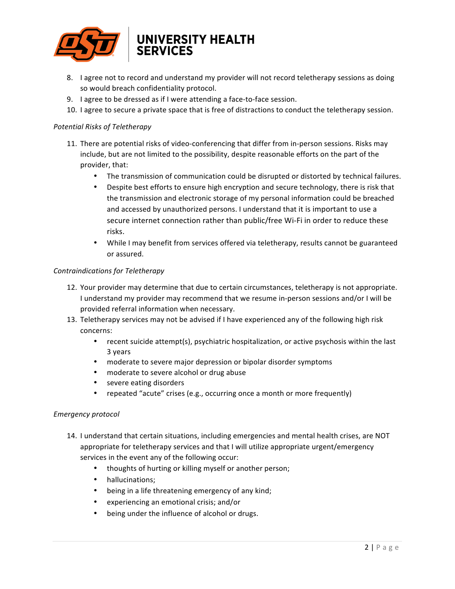

# UNIVERSITY HEALTH

- 8. I agree not to record and understand my provider will not record teletherapy sessions as doing so would breach confidentiality protocol.
- 9. I agree to be dressed as if I were attending a face-to-face session.
- 10. I agree to secure a private space that is free of distractions to conduct the teletherapy session.

### *Potential Risks of Teletherapy*

- 11. There are potential risks of video-conferencing that differ from in-person sessions. Risks may include, but are not limited to the possibility, despite reasonable efforts on the part of the provider, that:
	- The transmission of communication could be disrupted or distorted by technical failures.
	- Despite best efforts to ensure high encryption and secure technology, there is risk that the transmission and electronic storage of my personal information could be breached and accessed by unauthorized persons. I understand that it is important to use a secure internet connection rather than public/free Wi-Fi in order to reduce these risks.
	- While I may benefit from services offered via teletherapy, results cannot be guaranteed or assured.

#### *Contraindications for Teletherapy*

- 12. Your provider may determine that due to certain circumstances, teletherapy is not appropriate. I understand my provider may recommend that we resume in-person sessions and/or I will be provided referral information when necessary.
- 13. Teletherapy services may not be advised if I have experienced any of the following high risk concerns:
	- recent suicide attempt(s), psychiatric hospitalization, or active psychosis within the last 3 years
	- moderate to severe major depression or bipolar disorder symptoms
	- moderate to severe alcohol or drug abuse
	- severe eating disorders
	- repeated "acute" crises (e.g., occurring once a month or more frequently)

#### *Emergency protocol*

- 14. I understand that certain situations, including emergencies and mental health crises, are NOT appropriate for teletherapy services and that I will utilize appropriate urgent/emergency services in the event any of the following occur:
	- thoughts of hurting or killing myself or another person;
	- hallucinations;
	- being in a life threatening emergency of any kind;
	- experiencing an emotional crisis; and/or
	- being under the influence of alcohol or drugs.